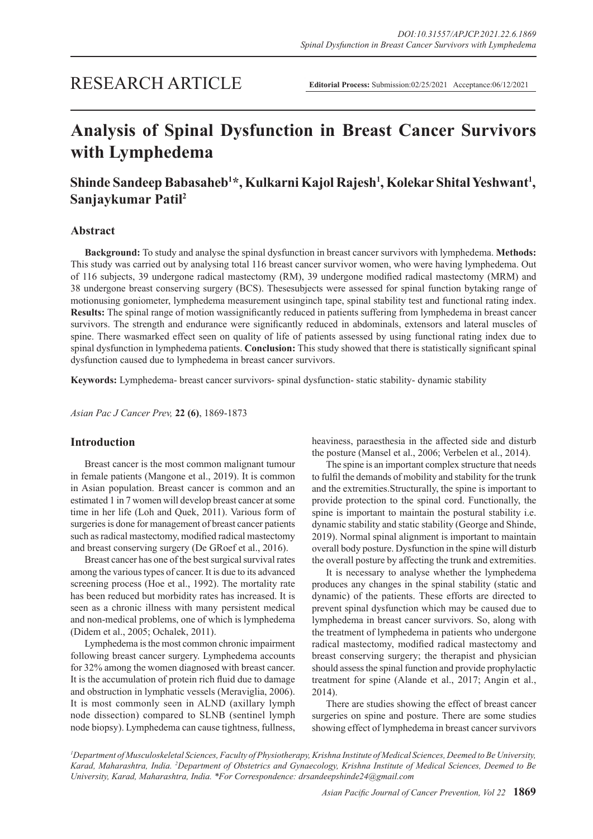# **Analysis of Spinal Dysfunction in Breast Cancer Survivors with Lymphedema**

# **Shinde Sandeep Babasaheb1 \*, Kulkarni Kajol Rajesh1 , Kolekar Shital Yeshwant1 , Sanjaykumar Patil2**

# **Abstract**

**Background:** To study and analyse the spinal dysfunction in breast cancer survivors with lymphedema. **Methods:**  This study was carried out by analysing total 116 breast cancer survivor women, who were having lymphedema. Out of 116 subjects, 39 undergone radical mastectomy (RM), 39 undergone modified radical mastectomy (MRM) and 38 undergone breast conserving surgery (BCS). Thesesubjects were assessed for spinal function bytaking range of motionusing goniometer, lymphedema measurement usinginch tape, spinal stability test and functional rating index. **Results:** The spinal range of motion wassignificantly reduced in patients suffering from lymphedema in breast cancer survivors. The strength and endurance were significantly reduced in abdominals, extensors and lateral muscles of spine. There wasmarked effect seen on quality of life of patients assessed by using functional rating index due to spinal dysfunction in lymphedema patients. **Conclusion:** This study showed that there is statistically significant spinal dysfunction caused due to lymphedema in breast cancer survivors.

**Keywords:** Lymphedema- breast cancer survivors- spinal dysfunction- static stability- dynamic stability

*Asian Pac J Cancer Prev,* **22 (6)**, 1869-1873

# **Introduction**

Breast cancer is the most common malignant tumour in female patients (Mangone et al., 2019). It is common in Asian population. Breast cancer is common and an estimated 1 in 7 women will develop breast cancer at some time in her life (Loh and Quek, 2011). Various form of surgeries is done for management of breast cancer patients such as radical mastectomy, modified radical mastectomy and breast conserving surgery (De GRoef et al., 2016).

Breast cancer has one of the best surgical survival rates among the various types of cancer. It is due to its advanced screening process (Hoe et al., 1992). The mortality rate has been reduced but morbidity rates has increased. It is seen as a chronic illness with many persistent medical and non-medical problems, one of which is lymphedema (Didem et al., 2005; Ochalek, 2011).

Lymphedema is the most common chronic impairment following breast cancer surgery. Lymphedema accounts for 32% among the women diagnosed with breast cancer. It is the accumulation of protein rich fluid due to damage and obstruction in lymphatic vessels (Meraviglia, 2006). It is most commonly seen in ALND (axillary lymph node dissection) compared to SLNB (sentinel lymph node biopsy). Lymphedema can cause tightness, fullness, heaviness, paraesthesia in the affected side and disturb the posture (Mansel et al., 2006; Verbelen et al., 2014).

The spine is an important complex structure that needs to fulfil the demands of mobility and stability for the trunk and the extremities.Structurally, the spine is important to provide protection to the spinal cord. Functionally, the spine is important to maintain the postural stability i.e. dynamic stability and static stability (George and Shinde, 2019). Normal spinal alignment is important to maintain overall body posture. Dysfunction in the spine will disturb the overall posture by affecting the trunk and extremities.

It is necessary to analyse whether the lymphedema produces any changes in the spinal stability (static and dynamic) of the patients. These efforts are directed to prevent spinal dysfunction which may be caused due to lymphedema in breast cancer survivors. So, along with the treatment of lymphedema in patients who undergone radical mastectomy, modified radical mastectomy and breast conserving surgery; the therapist and physician should assess the spinal function and provide prophylactic treatment for spine (Alande et al., 2017; Angin et al., 2014).

There are studies showing the effect of breast cancer surgeries on spine and posture. There are some studies showing effect of lymphedema in breast cancer survivors

*1 Department of Musculoskeletal Sciences, Faculty of Physiotherapy, Krishna Institute of Medical Sciences, Deemed to Be University,*  Karad, Maharashtra, India. <sup>2</sup>Department of Obstetrics and Gynaecology, Krishna Institute of Medical Sciences, Deemed to Be *University, Karad, Maharashtra, India. \*For Correspondence: drsandeepshinde24@gmail.com*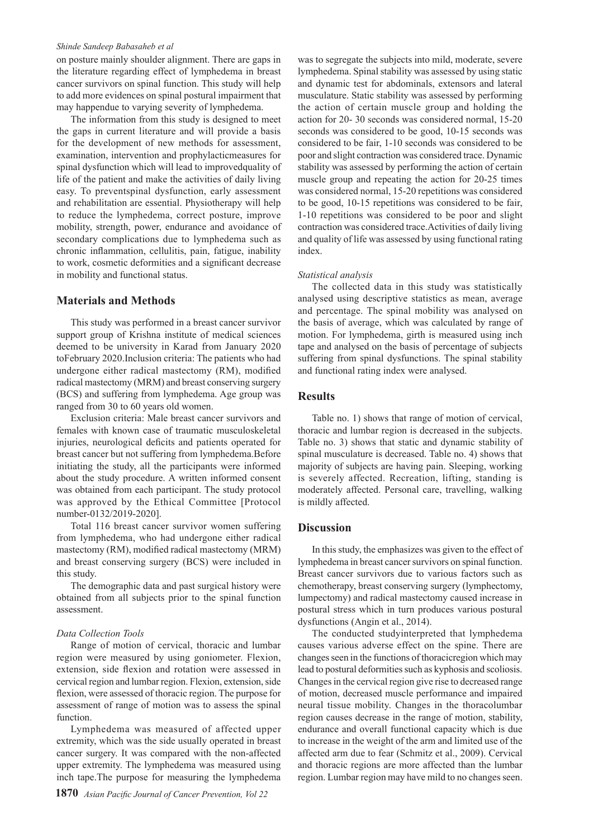#### *Shinde Sandeep Babasaheb et al*

on posture mainly shoulder alignment. There are gaps in the literature regarding effect of lymphedema in breast cancer survivors on spinal function. This study will help to add more evidences on spinal postural impairment that may happendue to varying severity of lymphedema.

The information from this study is designed to meet the gaps in current literature and will provide a basis for the development of new methods for assessment, examination, intervention and prophylacticmeasures for spinal dysfunction which will lead to improvedquality of life of the patient and make the activities of daily living easy. To preventspinal dysfunction, early assessment and rehabilitation are essential. Physiotherapy will help to reduce the lymphedema, correct posture, improve mobility, strength, power, endurance and avoidance of secondary complications due to lymphedema such as chronic inflammation, cellulitis, pain, fatigue, inability to work, cosmetic deformities and a significant decrease in mobility and functional status.

# **Materials and Methods**

This study was performed in a breast cancer survivor support group of Krishna institute of medical sciences deemed to be university in Karad from January 2020 toFebruary 2020.Inclusion criteria: The patients who had undergone either radical mastectomy (RM), modified radical mastectomy (MRM) and breast conserving surgery (BCS) and suffering from lymphedema. Age group was ranged from 30 to 60 years old women.

Exclusion criteria: Male breast cancer survivors and females with known case of traumatic musculoskeletal injuries, neurological deficits and patients operated for breast cancer but not suffering from lymphedema.Before initiating the study, all the participants were informed about the study procedure. A written informed consent was obtained from each participant. The study protocol was approved by the Ethical Committee [Protocol number-0132/2019-2020].

Total 116 breast cancer survivor women suffering from lymphedema, who had undergone either radical mastectomy (RM), modified radical mastectomy (MRM) and breast conserving surgery (BCS) were included in this study.

The demographic data and past surgical history were obtained from all subjects prior to the spinal function assessment.

#### *Data Collection Tools*

Range of motion of cervical, thoracic and lumbar region were measured by using goniometer. Flexion, extension, side flexion and rotation were assessed in cervical region and lumbar region. Flexion, extension, side flexion, were assessed of thoracic region. The purpose for assessment of range of motion was to assess the spinal function.

Lymphedema was measured of affected upper extremity, which was the side usually operated in breast cancer surgery. It was compared with the non-affected upper extremity. The lymphedema was measured using inch tape.The purpose for measuring the lymphedema

was to segregate the subjects into mild, moderate, severe lymphedema. Spinal stability was assessed by using static and dynamic test for abdominals, extensors and lateral musculature. Static stability was assessed by performing the action of certain muscle group and holding the action for 20- 30 seconds was considered normal, 15-20 seconds was considered to be good, 10-15 seconds was considered to be fair, 1-10 seconds was considered to be poor and slight contraction was considered trace. Dynamic stability was assessed by performing the action of certain muscle group and repeating the action for 20-25 times was considered normal, 15-20 repetitions was considered to be good, 10-15 repetitions was considered to be fair, 1-10 repetitions was considered to be poor and slight contraction was considered trace.Activities of daily living and quality of life was assessed by using functional rating index.

#### *Statistical analysis*

The collected data in this study was statistically analysed using descriptive statistics as mean, average and percentage. The spinal mobility was analysed on the basis of average, which was calculated by range of motion. For lymphedema, girth is measured using inch tape and analysed on the basis of percentage of subjects suffering from spinal dysfunctions. The spinal stability and functional rating index were analysed.

# **Results**

Table no. 1) shows that range of motion of cervical, thoracic and lumbar region is decreased in the subjects. Table no. 3) shows that static and dynamic stability of spinal musculature is decreased. Table no. 4) shows that majority of subjects are having pain. Sleeping, working is severely affected. Recreation, lifting, standing is moderately affected. Personal care, travelling, walking is mildly affected.

#### **Discussion**

In this study, the emphasizes was given to the effect of lymphedema in breast cancer survivors on spinal function. Breast cancer survivors due to various factors such as chemotherapy, breast conserving surgery (lymphectomy, lumpectomy) and radical mastectomy caused increase in postural stress which in turn produces various postural dysfunctions (Angin et al., 2014).

The conducted studyinterpreted that lymphedema causes various adverse effect on the spine. There are changes seen in the functions of thoracicregion which may lead to postural deformities such as kyphosis and scoliosis. Changes in the cervical region give rise to decreased range of motion, decreased muscle performance and impaired neural tissue mobility. Changes in the thoracolumbar region causes decrease in the range of motion, stability, endurance and overall functional capacity which is due to increase in the weight of the arm and limited use of the affected arm due to fear (Schmitz et al., 2009). Cervical and thoracic regions are more affected than the lumbar region. Lumbar region may have mild to no changes seen.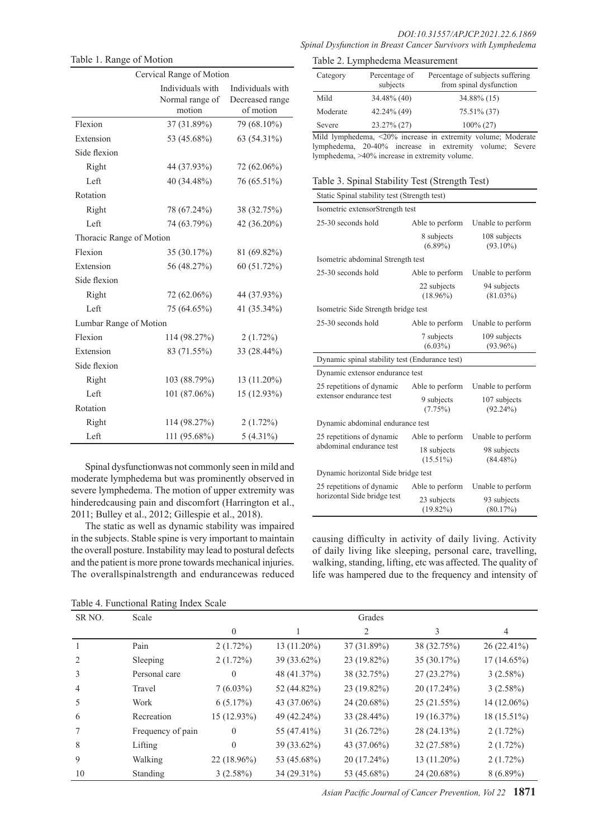| Cervical Range of Motion |                                               |                                                  |  |  |
|--------------------------|-----------------------------------------------|--------------------------------------------------|--|--|
|                          | Individuals with<br>Normal range of<br>motion | Individuals with<br>Decreased range<br>of motion |  |  |
| Flexion                  | 37 (31.89%)                                   | 79 (68.10%)                                      |  |  |
| Extension                | 53 (45.68%)                                   | 63 (54.31%)                                      |  |  |
| Side flexion             |                                               |                                                  |  |  |
| Right                    | 44 (37.93%)                                   | 72 (62.06%)                                      |  |  |
| Left                     | 40 (34.48%)                                   | 76 (65.51%)                                      |  |  |
| Rotation                 |                                               |                                                  |  |  |
| Right                    | 78 (67.24%)                                   | 38 (32.75%)                                      |  |  |
| Left                     | 74 (63.79%)                                   | 42 $(36.20\%)$                                   |  |  |
| Thoracic Range of Motion |                                               |                                                  |  |  |
| Flexion                  | 35 (30.17%)                                   | 81 (69.82%)                                      |  |  |
| Extension                | 56 (48.27%)                                   | 60 (51.72%)                                      |  |  |
| Side flexion             |                                               |                                                  |  |  |
| Right                    | 72 (62.06%)                                   | 44 (37.93%)                                      |  |  |
| Left                     | 75 (64.65%)                                   | 41 (35.34%)                                      |  |  |
| Lumbar Range of Motion   |                                               |                                                  |  |  |
| Flexion                  | 114 (98.27%)                                  | $2(1.72\%)$                                      |  |  |
| Extension                | 83 (71.55%)                                   | 33 (28.44%)                                      |  |  |
| Side flexion             |                                               |                                                  |  |  |
| Right                    | 103 (88.79%)                                  | 13 (11.20%)                                      |  |  |
| Left                     | 101 (87.06%)                                  | 15 (12.93%)                                      |  |  |
| Rotation                 |                                               |                                                  |  |  |
| Right                    | 114 (98.27%)                                  | $2(1.72\%)$                                      |  |  |
| Left                     | 111 (95.68%)                                  | $5(4.31\%)$                                      |  |  |

Table 1. Range of Motion

Spinal dysfunctionwas not commonly seen in mild and moderate lymphedema but was prominently observed in severe lymphedema. The motion of upper extremity was hinderedcausing pain and discomfort (Harrington et al., 2011; Bulley et al., 2012; Gillespie et al., 2018).

The static as well as dynamic stability was impaired in the subjects. Stable spine is very important to maintain the overall posture. Instability may lead to postural defects and the patient is more prone towards mechanical injuries. The overallspinalstrength and endurancewas reduced

| Percentage of<br>Category<br>subjects |             | Percentage of subjects suffering<br>from spinal dysfunction |  |  |
|---------------------------------------|-------------|-------------------------------------------------------------|--|--|
| Mild                                  | 34.48% (40) | 34.88% (15)                                                 |  |  |
| Moderate                              | 42.24% (49) | 75.51% (37)                                                 |  |  |
| Severe                                | 23.27% (27) | $100\% (27)$                                                |  |  |

Mild lymphedema, ˂20% increase in extremity volume; Moderate lymphedema, 20-40% increase in extremity volume; Severe lymphedema, ˃40% increase in extremity volume.

|  |  | Table 3. Spinal Stability Test (Strength Test) |  |
|--|--|------------------------------------------------|--|
|  |  |                                                |  |

| Static Spinal stability test (Strength test)             |                            |                             |  |  |
|----------------------------------------------------------|----------------------------|-----------------------------|--|--|
| Isometric extensorStrength test                          |                            |                             |  |  |
| 25-30 seconds hold                                       | Able to perform            | Unable to perform           |  |  |
|                                                          | 8 subjects<br>$(6.89\%)$   | 108 subjects<br>$(93.10\%)$ |  |  |
| Isometric abdominal Strength test                        |                            |                             |  |  |
| 25-30 seconds hold                                       | Able to perform            | Unable to perform           |  |  |
|                                                          | 22 subjects<br>$(18.96\%)$ | 94 subjects<br>$(81.03\%)$  |  |  |
| Isometric Side Strength bridge test                      |                            |                             |  |  |
| 25-30 seconds hold                                       | Able to perform            | Unable to perform           |  |  |
|                                                          | 7 subjects<br>$(6.03\%)$   | 109 subjects<br>$(93.96\%)$ |  |  |
|                                                          |                            |                             |  |  |
| Dynamic spinal stability test (Endurance test)           |                            |                             |  |  |
| Dynamic extensor endurance test                          |                            |                             |  |  |
| 25 repetitions of dynamic                                | Able to perform            | Unable to perform           |  |  |
| extensor endurance test                                  | 9 subjects<br>(7.75%)      | 107 subjects<br>$(92.24\%)$ |  |  |
| Dynamic abdominal endurance test                         |                            |                             |  |  |
| 25 repetitions of dynamic                                | Able to perform            | Unable to perform           |  |  |
| abdominal endurance test                                 | 18 subjects<br>$(15.51\%)$ | 98 subjects<br>$(84.48\%)$  |  |  |
| Dynamic horizontal Side bridge test                      |                            |                             |  |  |
| 25 repetitions of dynamic<br>horizontal Side bridge test | Able to perform            | Unable to perform           |  |  |

causing difficulty in activity of daily living. Activity of daily living like sleeping, personal care, travelling, walking, standing, lifting, etc was affected. The quality of life was hampered due to the frequency and intensity of

| Table 4. Functional Rating Index Scale |  |  |  |
|----------------------------------------|--|--|--|
|----------------------------------------|--|--|--|

| SR <sub>NO</sub> . | Scale             | Grades         |               |               |               |               |
|--------------------|-------------------|----------------|---------------|---------------|---------------|---------------|
|                    |                   | $\overline{0}$ |               | 2             | 3             | 4             |
|                    | Pain              | $2(1.72\%)$    | $13(11.20\%)$ | 37(31.89%)    | 38 (32.75%)   | $26(22.41\%)$ |
|                    | Sleeping          | $2(1.72\%)$    | $39(33.62\%)$ | 23 (19.82%)   | 35 (30.17%)   | $17(14.65\%)$ |
| 3                  | Personal care     | $\overline{0}$ | 48 (41.37%)   | 38 (32.75%)   | 27(23.27%)    | 3(2.58%)      |
| 4                  | Travel            | $7(6.03\%)$    | 52 (44.82%)   | 23 (19.82%)   | $20(17.24\%)$ | 3(2.58%)      |
| 5                  | Work              | 6(5.17%)       | 43 (37.06%)   | 24 (20.68%)   | 25(21.55%)    | 14 (12.06%)   |
| 6                  | Recreation        | 15 (12.93%)    | 49 (42.24%)   | $33(28.44\%)$ | 19(16.37%)    | $18(15.51\%)$ |
|                    | Frequency of pain | $\theta$       | 55 (47.41%)   | 31 (26.72%)   | 28(24.13%)    | $2(1.72\%)$   |
| 8                  | Lifting           | $\Omega$       | $39(33.62\%)$ | 43 (37.06%)   | 32(27.58%)    | $2(1.72\%)$   |
| 9                  | Walking           | 22 (18.96%)    | 53 (45.68%)   | 20 (17.24%)   | $13(11.20\%)$ | $2(1.72\%)$   |
| 10                 | Standing          | 3(2.58%)       | 34 (29.31%)   | 53 (45.68%)   | 24 (20.68%)   | $8(6.89\%)$   |

*Asian Pacific Journal of Cancer Prevention, Vol 22* **1871**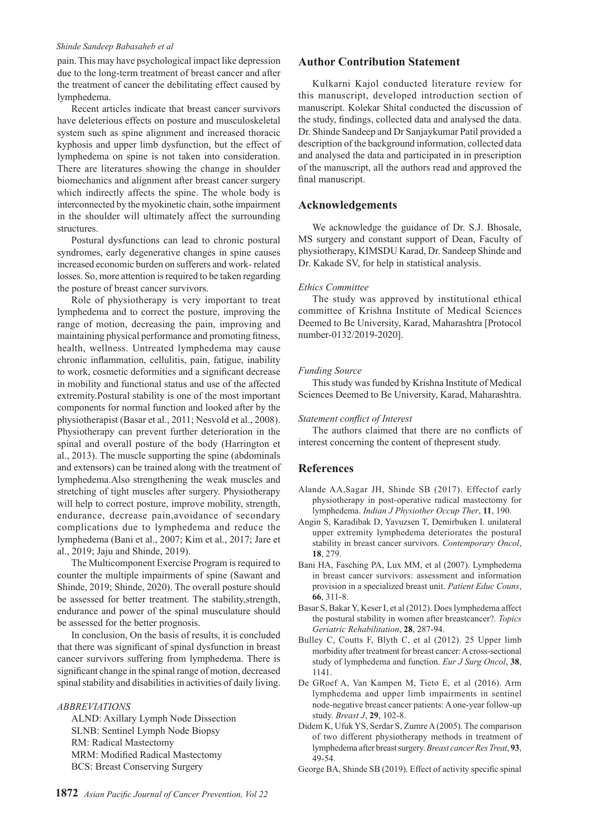#### *Shinde Sandeep Babasaheb et al*

pain. This may have psychological impact like depression due to the long-term treatment of breast cancer and after the treatment of cancer the debilitating effect caused by lymphedema.

Recent articles indicate that breast cancer survivors have deleterious effects on posture and musculoskeletal system such as spine alignment and increased thoracic kyphosis and upper limb dysfunction, but the effect of lymphedema on spine is not taken into consideration. There are literatures showing the change in shoulder biomechanics and alignment after breast cancer surgery which indirectly affects the spine. The whole body is interconnected by the myokinetic chain, sothe impairment in the shoulder will ultimately affect the surrounding structures.

Postural dysfunctions can lead to chronic postural syndromes, early degenerative changes in spine causes increased economic burden on sufferers and work- related losses. So, more attention is required to be taken regarding the posture of breast cancer survivors.

Role of physiotherapy is very important to treat lymphedema and to correct the posture, improving the range of motion, decreasing the pain, improving and maintaining physical performance and promoting fitness, health, wellness. Untreated lymphedema may cause chronic inflammation, cellulitis, pain, fatigue, inability to work, cosmetic deformities and a significant decrease in mobility and functional status and use of the affected extremity.Postural stability is one of the most important components for normal function and looked after by the physiotherapist (Basar et al., 2011; Nesvold et al., 2008). Physiotherapy can prevent further deterioration in the spinal and overall posture of the body (Harrington et al., 2013). The muscle supporting the spine (abdominals and extensors) can be trained along with the treatment of lymphedema.Also strengthening the weak muscles and stretching of tight muscles after surgery. Physiotherapy will help to correct posture, improve mobility, strength, endurance, decrease pain,avoidance of secondary complications due to lymphedema and reduce the lymphedema (Bani et al., 2007; Kim et al., 2017; Jare et al., 2019; Jaju and Shinde, 2019).

The Multicomponent Exercise Program is required to counter the multiple impairments of spine (Sawant and Shinde, 2019; Shinde, 2020). The overall posture should be assessed for better treatment. The stability,strength, endurance and power of the spinal musculature should be assessed for the better prognosis.

In conclusion, On the basis of results, it is concluded that there was significant of spinal dysfunction in breast cancer survivors suffering from lymphedema. There is significant change in the spinal range of motion, decreased spinal stability and disabilities in activities of daily living.

*ABBREVIATIONS*

ALND: Axillary Lymph Node Dissection SLNB: Sentinel Lymph Node Biopsy RM: Radical Mastectomy MRM: Modified Radical Mastectomy BCS: Breast Conserving Surgery

# **Author Contribution Statement**

Kulkarni Kajol conducted literature review for this manuscript, developed introduction section of manuscript. Kolekar Shital conducted the discussion of the study, findings, collected data and analysed the data. Dr. Shinde Sandeep and Dr Sanjaykumar Patil provided a description of the background information, collected data and analysed the data and participated in in prescription of the manuscript, all the authors read and approved the final manuscript.

# **Acknowledgements**

We acknowledge the guidance of Dr. S.J. Bhosale, MS surgery and constant support of Dean, Faculty of physiotherapy, KIMSDU Karad, Dr. Sandeep Shinde and Dr. Kakade SV, for help in statistical analysis.

#### *Ethics Committee*

The study was approved by institutional ethical committee of Krishna Institute of Medical Sciences Deemed to Be University, Karad, Maharashtra [Protocol number-0132/2019-2020].

#### *Funding Source*

This study was funded by Krishna Institute of Medical Sciences Deemed to Be University, Karad, Maharashtra.

#### *Statement conflict of Interest*

The authors claimed that there are no conflicts of interest concerning the content of thepresent study.

### **References**

- Alande AA,Sagar JH, Shinde SB (2017). Effectof early physiotherapy in post-operative radical mastectomy for lymphedema. *Indian J Physiother Occup Ther*, **11**, 190.
- Angin S, Karadibak D, Yavuzsen T, Demirbuken I. unilateral upper extremity lymphedema deteriorates the postural stability in breast cancer survivors. *Contemporary Oncol*, **18**, 279.
- Bani HA, Fasching PA, Lux MM, et al (2007). Lymphedema in breast cancer survivors: assessment and information provision in a specialized breast unit. *Patient Educ Couns*, **66**, 311-8.
- Basar S, Bakar Y, Keser I, et al (2012). Does lymphedema affect the postural stability in women after breastcancer?. *Topics Geriatric Rehabilitation*, **28**, 287-94.
- Bulley C, Coutts F, Blyth C, et al (2012). 25 Upper limb morbidity after treatment for breast cancer: A cross-sectional study of lymphedema and function. *Eur J Surg Oncol*, **38**, 1141.
- De GRoef A, Van Kampen M, Tieto E, et al (2016). Arm lymphedema and upper limb impairments in sentinel node-negative breast cancer patients: A one-year follow-up study. *Breast J*, **29**, 102-8.
- Didem K, Ufuk YS, Serdar S, Zumre A (2005). The comparison of two different physiotherapy methods in treatment of lymphedema after breast surgery. *Breast cancer Res Treat*, **93**, 49-54.
- George BA, Shinde SB (2019). Effect of activity specific spinal